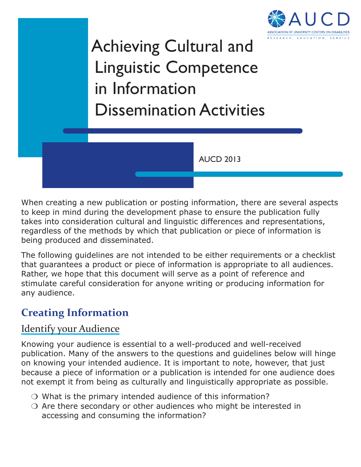

# Achieving Cultural and Linguistic Competence in Information Dissemination Activities

AUCD 2013

When creating a new publication or posting information, there are several aspects to keep in mind during the development phase to ensure the publication fully takes into consideration cultural and linguistic differences and representations, regardless of the methods by which that publication or piece of information is being produced and disseminated.

The following guidelines are not intended to be either requirements or a checklist that guarantees a product or piece of information is appropriate to all audiences. Rather, we hope that this document will serve as a point of reference and stimulate careful consideration for anyone writing or producing information for any audience.

# **Creating Information**

### Identify your Audience

Knowing your audience is essential to a well-produced and well-received publication. Many of the answers to the questions and guidelines below will hinge on knowing your intended audience. It is important to note, however, that just because a piece of information or a publication is intended for one audience does not exempt it from being as culturally and linguistically appropriate as possible.

- ❍ What is the primary intended audience of this information?
- ❍ Are there secondary or other audiences who might be interested in accessing and consuming the information?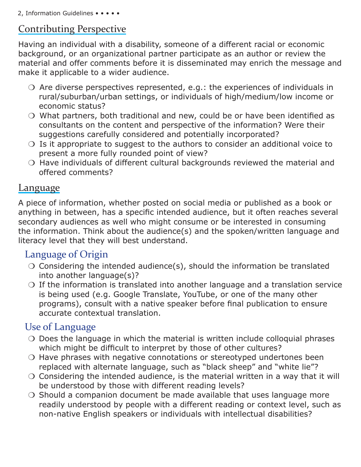## Contributing Perspective

Having an individual with a disability, someone of a different racial or economic background, or an organizational partner participate as an author or review the material and offer comments before it is disseminated may enrich the message and make it applicable to a wider audience.

- $\overline{O}$  Are diverse perspectives represented, e.g.: the experiences of individuals in rural/suburban/urban settings, or individuals of high/medium/low income or economic status?
- ❍ What partners, both traditional and new, could be or have been identified as consultants on the content and perspective of the information? Were their suggestions carefully considered and potentially incorporated?
- $\bigcirc$  Is it appropriate to suggest to the authors to consider an additional voice to present a more fully rounded point of view?
- ❍ Have individuals of different cultural backgrounds reviewed the material and offered comments?

#### Language

A piece of information, whether posted on social media or published as a book or anything in between, has a specific intended audience, but it often reaches several secondary audiences as well who might consume or be interested in consuming the information. Think about the audience(s) and the spoken/written language and literacy level that they will best understand.

## Language of Origin

- ❍ Considering the intended audience(s), should the information be translated into another language(s)?
- $\bigcirc$  If the information is translated into another language and a translation service is being used (e.g. Google Translate, YouTube, or one of the many other programs), consult with a native speaker before final publication to ensure accurate contextual translation.

## Use of Language

- ❍ Does the language in which the material is written include colloquial phrases which might be difficult to interpret by those of other cultures?
- ❍ Have phrases with negative connotations or stereotyped undertones been replaced with alternate language, such as "black sheep" and "white lie"?
- $\circ$  Considering the intended audience, is the material written in a way that it will be understood by those with different reading levels?
- Should a companion document be made available that uses language more readily understood by people with a different reading or context level, such as non-native English speakers or individuals with intellectual disabilities?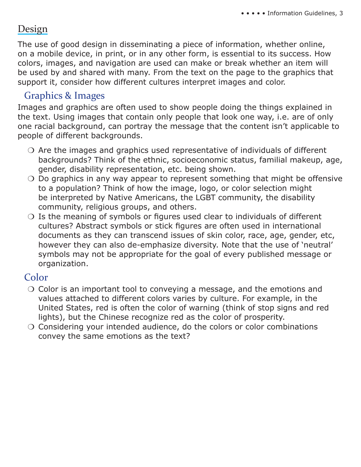## Design

The use of good design in disseminating a piece of information, whether online, on a mobile device, in print, or in any other form, is essential to its success. How colors, images, and navigation are used can make or break whether an item will be used by and shared with many. From the text on the page to the graphics that support it, consider how different cultures interpret images and color.

### Graphics & Images

Images and graphics are often used to show people doing the things explained in the text. Using images that contain only people that look one way, i.e. are of only one racial background, can portray the message that the content isn't applicable to people of different backgrounds.

- ❍ Are the images and graphics used representative of individuals of different backgrounds? Think of the ethnic, socioeconomic status, familial makeup, age, gender, disability representation, etc. being shown.
- ❍ Do graphics in any way appear to represent something that might be offensive to a population? Think of how the image, logo, or color selection might be interpreted by Native Americans, the LGBT community, the disability community, religious groups, and others.
- $\bigcirc$  Is the meaning of symbols or figures used clear to individuals of different cultures? Abstract symbols or stick figures are often used in international documents as they can transcend issues of skin color, race, age, gender, etc, however they can also de-emphasize diversity. Note that the use of 'neutral' symbols may not be appropriate for the goal of every published message or organization.

### Color

- ❍ Color is an important tool to conveying a message, and the emotions and values attached to different colors varies by culture. For example, in the United States, red is often the color of warning (think of stop signs and red lights), but the Chinese recognize red as the color of prosperity.
- ❍ Considering your intended audience, do the colors or color combinations convey the same emotions as the text?